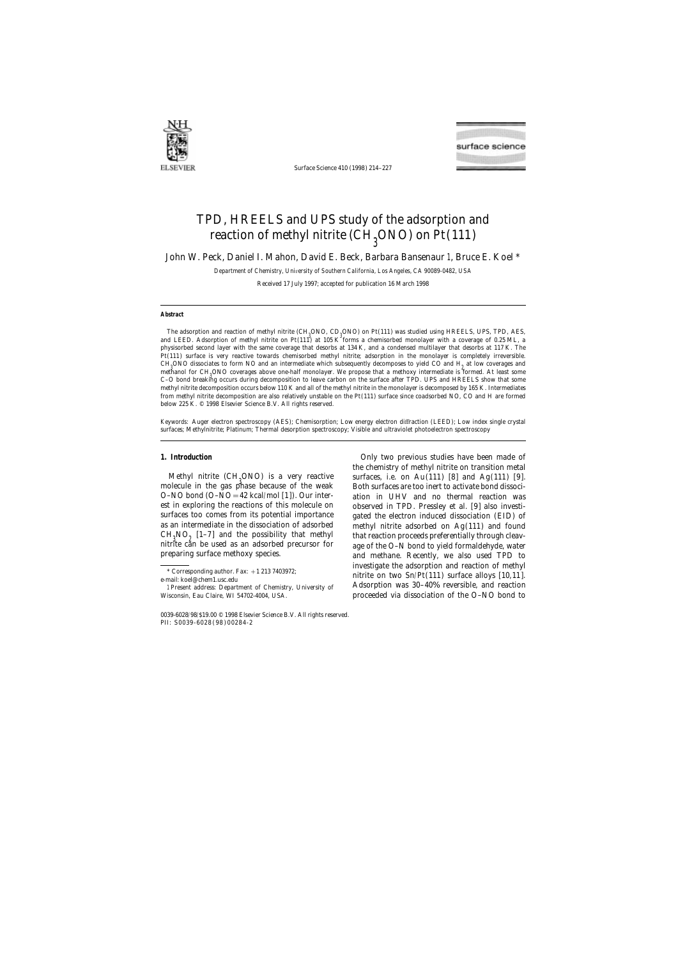

Surface Science 410 (1998) 214–227



# TPD, HREELS and UPS study of the adsorption and reaction of methyl nitrite (CH<sub>3</sub>ONO) on Pt(111)

John W. Peck, Daniel I. Mahon, David E. Beck, Barbara Bansenaur 1, Bruce E. Koel \*

*Department of Chemistry, Uni*v*ersity of Southern California, Los Angeles, CA 90089-0482, USA*

Received 17 July 1997; accepted for publication 16 March 1998

## **Abstract**

The adsorption and reaction of methyl nitrite (CH<sub>3</sub>ONO, CD<sub>3</sub>ONO) on Pt(111) was studied using HREELS, UPS, TPD, AES,<br>A LEED, Advantise of muthol within an Pt(111<sup>3</sup>) at 105 to<sup>3</sup>famos a charitaghed associates with a secu and LEED. Adsorption of methyl nitrite on Pt(111) at 105 K forms a chemisorbed monolayer with a coverage of 0.25 ML, a physisorbed second layer with the same coverage that desorbs at 134 K, and a condensed multilayer that desorbs at 117 K. The Pt(111) surface is very reactive towards chemisorbed methyl nitrite; adsorption in the monolayer is completely irreversible. CH<sub>3</sub>ONO dissociates to form NO and an intermediate which subsequently decomposes to yield CO and H<sub>2</sub> at low coverages and<br>weakened for CU ONO coverages them and half magalema. We was seen that a mathematic intermediate methanol for CH<sub>3</sub>ONO coverages above one-half monolayer. We propose that a methoxy intermediate is formed. At least some<br>C O hard hughling assume during decomposition to leave eachen on the surface ofter TPD, LIBS and LIB C–O bond breaking occurs during decomposition to leave carbon on the surface after TPD. UPS and HREELS show that some methyl nitrite decomposition occurs below 110 K and all of the methyl nitrite in the monolayer is decomposed by 165 K. Intermediates from methyl nitrite decomposition are also relatively unstable on the Pt(111) surface since coadsorbed NO, CO and H are formed below 225 K. © 1998 Elsevier Science B.V. All rights reserved.

*Keywords:* Auger electron spectroscopy (AES); Chemisorption; Low energy electron diffraction (LEED); Low index single crystal surfaces; Methylnitrite; Platinum; Thermal desorption spectroscopy; Visible and ultraviolet photoelectron spectroscopy

Methyl nitrite  $(CH<sub>2</sub>ONO)$  is a very reactive molecule in the gas phase because of the weak Both surfaces are too inert to activate bond dissoci-<br>O-NO bond  $(O-NO = 42$  kcal/mol [1]). Our inter-<br>ation in UHV and no thermal reaction was est in exploring the reactions of this molecule on observed in TPD. Pressley et al. [9] also investias an intermediate in the dissociation of adsorbed methyl nitrite adsorbed on Ag(111) and found  $CH<sub>3</sub>NO<sub>2</sub>$  [1-7] and the possibility that methyl nitrite can be used as an adsorbed precursor for

**1. Introduction 1. Introduction 1. Introduction** the chemistry of methyl nitrite on transition metal surfaces, i.e. on Au(111) [8] and Ag(111) [9]. ation in UHV and no thermal reaction was surfaces too comes from its potential importance gated the electron induced dissociation (EID) of that reaction proceeds preferentially through cleav-<br>age of the O-N bond to yield formaldehyde, water preparing surface methoxy species. and methane. Recently, we also used TPD to investigate the adsorption and reaction of methyl \* Corresponding author. Fax: <sup>+</sup>1 213 7403972; nitrite on two Sn/Pt(111) surface alloys [10,11]. e-mail: koel@chem1.usc.edu 1 Present address: Department of Chemistry, University of Adsorption was 30-40% reversible, and reaction Wisconsin, Eau Claire, WI 54702-4004, USA. **proceeded via dissociation of the O–NO bond to** 

<sup>0039-6028</sup>/98/\$19.00 © 1998 Elsevier Science B.V. All rights reserved. PII: S0039-6028 ( 98 ) 00284-2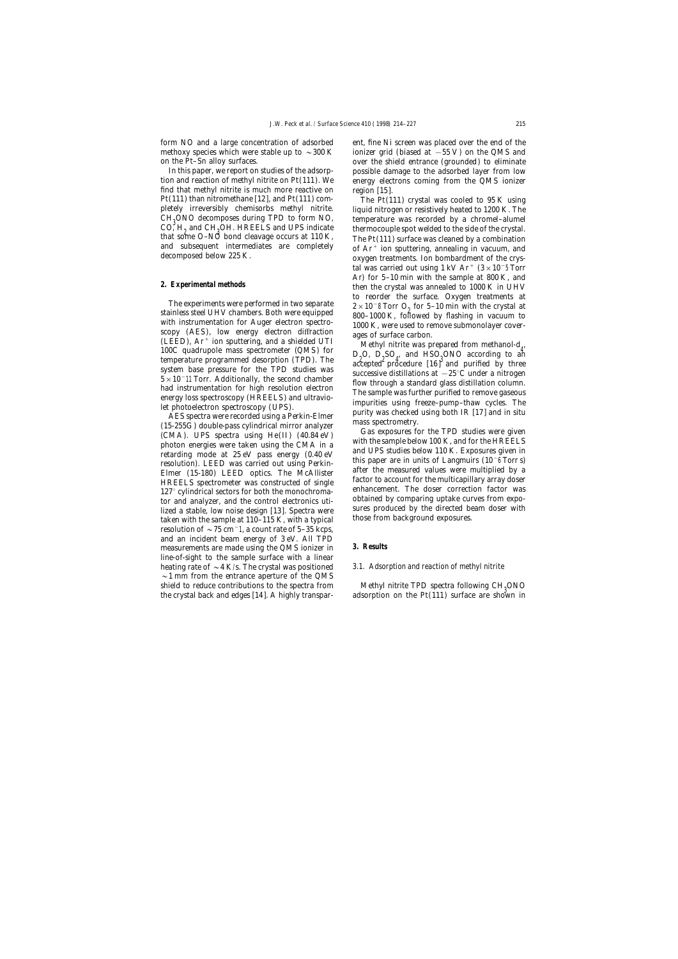form NO and a large concentration of adsorbed ent, fine Ni screen was placed over the end of the

find that methyl nitrite is much more reactive on region [15]. Pt(111) than nitromethane [12], and Pt(111) com- The Pt(111) crystal was cooled to 95 K using  $CH<sub>9</sub>ONO$  decomposes during TPD to form NO, CO,  $H_2$  and CH<sub>3</sub>OH. HREELS and UPS indicate that some O-NO bond cleavage occurs at 110 K,

The experiments were performed in two separate<br>
stainless steel UHV chambers. Both were equipped<br>
with instrumentation for Auger electron spectro-<br>
scopy (AES), low energy electron diffraction<br>
(LEED), Ar<sup>+</sup> ion sputterin (LEED), At foll sputtering, and a sineded UTI<br>100C quadrupole mass spectrometer (QMS) for  $D_2O$ ,  $D_3SO_q$ , and HSO<sub>3</sub>ONO according to an<br>temperature programmed desorption (TPD). The  $D_3O_q$  and  $D_4$ , and HSO<sub>3</sub>ONO accord

Elmer (15-180) LEED optics. The McAllister<br>
HREELS spectrometer was constructed of single<br>
127° cylindrical sectors for both the monochroma-<br>
enhancement. The doser correction factor was 127° cylindrical sectors for both the monochroma-<br>tor and analyzer, and the control electronics uti-<br>lized a stable, low noise design [13]. Spectra were sures produced by the directed beam doser with<br>taken with the sample resolution of  $\sim$  75 cm<sup>-1</sup>, a count rate of 5–35 kcps, and an incident beam energy of 3 eV. All TPD measurements are made using the QMS ionizer in **3. Results** line-of-sight to the sample surface with a linear heating rate of ~4 K/s. The crystal was positioned *3.1. Adsorption and reaction of methyl nitrite*  $\sim$ 1 mm from the entrance aperture of the QMS shield to reduce contributions to the spectra from Methyl nitrite TPD spectra following CH<sub>3</sub>ONO<br>the crystal back and edges [14]. A highly transpar- adsorption on the Pt(111) surface are shown in

methoxy species which were stable up to  $\sim$ 300 K ionizer grid (biased at  $-55$  V) on the QMS and on the Pt–Sn alloy surfaces. over the shield entrance (grounded) to eliminate In this paper, we report on studies of the adsorp- possible damage to the adsorbed layer from low tion and reaction of methyl nitrite on Pt(111). We energy electrons coming from the QMS ionizer

pletely irreversibly chemisorbs methyl nitrite. liquid nitrogen or resistively heated to 1200 K. The temperature was recorded by a chromel–alumel CO,  $H_2$  and CH<sub>2</sub>OH. HREELS and UPS indicate<br>that some O–NO bond cleavage occurs at 110 K,<br>and subsequent intermediates are completely of Ar<sup>+</sup> ion sputtering, annealing in vacuum, and<br>decomposed below 225 K. our oxygen tal was carried out using 1 kV Ar<sup>+</sup> (3 × 10<sup>-5</sup> Torr **2. Experimental methods 2. Experimental methods 2. Experimental methods then** the crystal was annealed to 1000 K in UHV

For quality mass spectrometric (WHS) on  $D_2O$ ,  $D_2SO_4$  and HSO<sub>3</sub>ONO according to an accepted procedure (16)<sup>3</sup> and purified by three system base pressure for the TPD studies was  $5 \times 10^{-11}$  Torr. Additionally, the sec

adsorption on the Pt(111) surface are shown in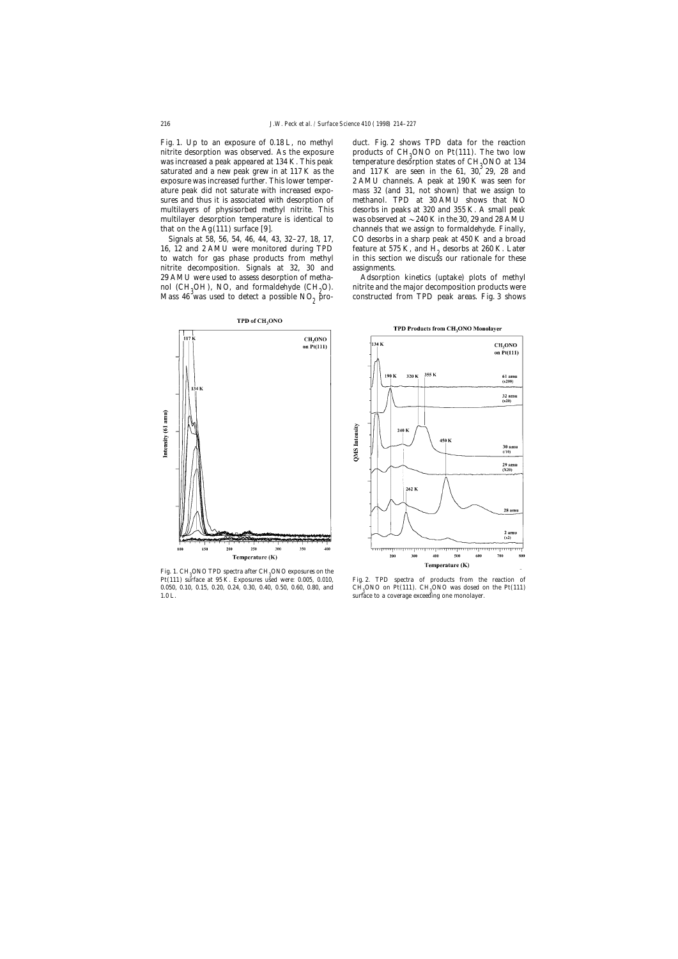Fig. 1. Up to an exposure of 0.18 L, no methyl duct. Fig. 2 shows TPD data for the reaction nitrite desorption was observed. As the exposure  $\qquad$  products of CH<sub>2</sub>ONO on Pt(111). The two low was increased a peak appeared at  $134$  K. This peak saturated and a new peak grew in at  $117$  K as the ature peak did not saturate with increased expo- mass 32 (and 31, not shown) that we assign to sures and thus it is associated with desorption of methanol. TPD at 30 AMU shows that NO multilayer desorption temperature is identical to was observed at  $\sim$  240 K in the 30, 29 and 28 AMU that on the Ag(111) surface [9]. channels that we assign to formaldehyde. Finally,

nitrite decomposition. Signals at 32, 30 and assignments. OH), NO, and formaldehyde  $(CH<sub>2</sub>O)$ . Mass 46 was used to detect a possible  $NO<sub>9</sub>$  pro-

temperature desorption states of CH<sub>2</sub>ONO at 134 and  $117 \text{ K}$  are seen in the 61, 30, 29, 28 and exposure was increased further. This lower temper- 2 AMU channels. A peak at 190 K was seen for multilayers of physisorbed methyl nitrite. This desorbs in peaks at 320 and 355 K. A small peak Signals at 58, 56, 54, 46, 44, 43, 32–27, 18, 17, CO desorbs in a sharp peak at 450 K and a broad 16, 12 and 2 AMU were monitored during TPD feature at 575 K, and  $\dot{H}_2$  desorbs at 260 K. Later to watch for gas phase products from methyl in this section we discuss our rationale for these in this section we discuss our rationale for these

29 AMU were used to assess desorption of metha- Adsorption kinetics (uptake) plots of methyl nitrite and the major decomposition products were constructed from TPD peak areas. Fig. 3 shows



Fig. 1.  $CH<sub>3</sub>ONO$  TPD spectra after  $CH<sub>3</sub>ONO$  exposures on the  $P<sub>1</sub>(111)$ Pt(111) surface at 95 K. Exposures used were: 0.005, 0.010, Fig. 2. TPD spectra of products from the reaction of 0.050, 0.10, 0.15, 0.20, 0.24, 0.30, 0.40, 0.50, 0.60, 0.80, and 1.0 L.

TPD Products from CH<sub>3</sub>ONO Monolayer



ONO on Pt(111). CH<sub>3</sub>ONO was dosed on the Pt(111) surface to a coverage exceeding one monolayer.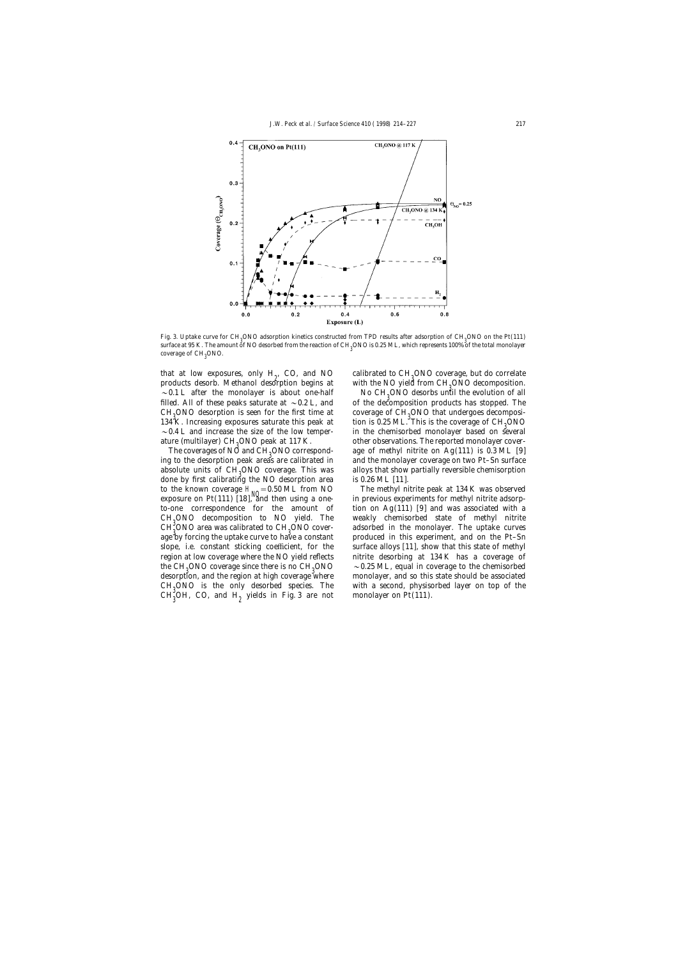

Fig. 3. Uptake curve for CH<sub>3</sub>ONO adsorption kinetics constructed from TPD results after adsorption of CH<sub>3</sub>ONO on the Pt(111)<br>surface at 05 K. The smanni at NO described from the prestian of CH\_ONO is 0.95 ML, which prepa surface at 95 K. The amount of NO desorbed from the reaction of CH<sup>3</sup> ONO is 0.25 ML, which represents 100% of the total monolayer coverage of CH<sub>3</sub>ONO.

that at low exposures, only  $H_0$ , CO, and NO products desorb. Methanol desorption begins at ~0.1 L after the monolayer is about one-half filled. All of these peaks saturate at ~0.2 L, and  $CH<sub>3</sub>ONO$  desorption is seen for the first time at coverage of  $CH<sub>3</sub>$ <br>124 Y Increasing sympatures asturate this pool; at the is 0.25 MJ 134 K. Increasing exposures saturate this peak at tion is 0.25 ML. This is the coverage of CH<sub>3</sub>ONO  $\sim$  0.4 L and increase the size of the low temper- in the chemisorbed monolayer based on several ature (multilayer) CH<sub>0</sub>ONO peak at 117 K.

The coverages of  $N\ddot{\circ}$  and  $CH<sub>9</sub>ONO$  corresponding to the desorption peak areas are calibrated in and the monolayer coverage on two Pt–Sn surface absolute units of  $CH<sub>0</sub>ONO$  coverage. This was done by first calibrating the NO desorption area is 0.26 ML [11].  $CH<sub>3</sub><sup>o</sup>ONO$  area was calibrated to  $CH<sub>3</sub>$ the CH<sub>3</sub>ONO coverage since there is no CH<sub>3</sub><br>december and the region at high coverage?  $CH<sub>0</sub>ONO$  is the only desorbed species. The  $CH_3^{\circ}OH$ , CO, and  $H_2$  yields in Fig. 3 are not monolayer on Pt(111).

, CO, and NO calibrated to CH<sub>2</sub>ONO coverage, but do correlate  $\frac{1}{2}$  contains the block of the NO vield from CH<sub>2</sub>ONO decomposition with the NO yield from  $CH<sub>0</sub> ONO$  decomposition.

> No CH<sub>0</sub>ONO desorbs until the evolution of all of the decomposition products has stopped. The coverage of  $CH<sub>9</sub>ONO$  that undergoes decomposiin the chemisorbed monolayer based on several other observations. The reported monolayer coverage of methyl nitrite on  $Ag(111)$  is 0.3 ML [9] alloys that show partially reversible chemisorption

to the known coverage H<sub>NO</sub>=0.50 ML from NO The methyl nitrite peak at 134 K was observed<br>exposure on Pt(111) [18], and then using a one- in previous experiments for methyl nitrite adsorpto-one correspondence for the amount of tion on  $Ag(111)$  [9] and was associated with a  $CH<sub>3</sub>ONO$  decomposition to NO yield. The weakly chemisorbed state of methyl nitrite  $CH<sub>3</sub>ONO$  are use selibrated to  $CH<sub>3</sub>ONO$  gauge and adapted in the manalayer. The untake summary adsorbed in the monolayer. The uptake curves age by forcing the uptake curve to have a constant produced in this experiment, and on the Pt–Sn slope, i.e. constant sticking coefficient, for the surface alloys [11], show that this state of methyl region at low coverage where the NO yield reflects nitrite desorbing at 134 K has a coverage of  $\sim$  0.25 ML, equal in coverage to the chemisorbed desorption, and the region at high coverage where monolayer, and so this state should be associated with a second, physisorbed layer on top of the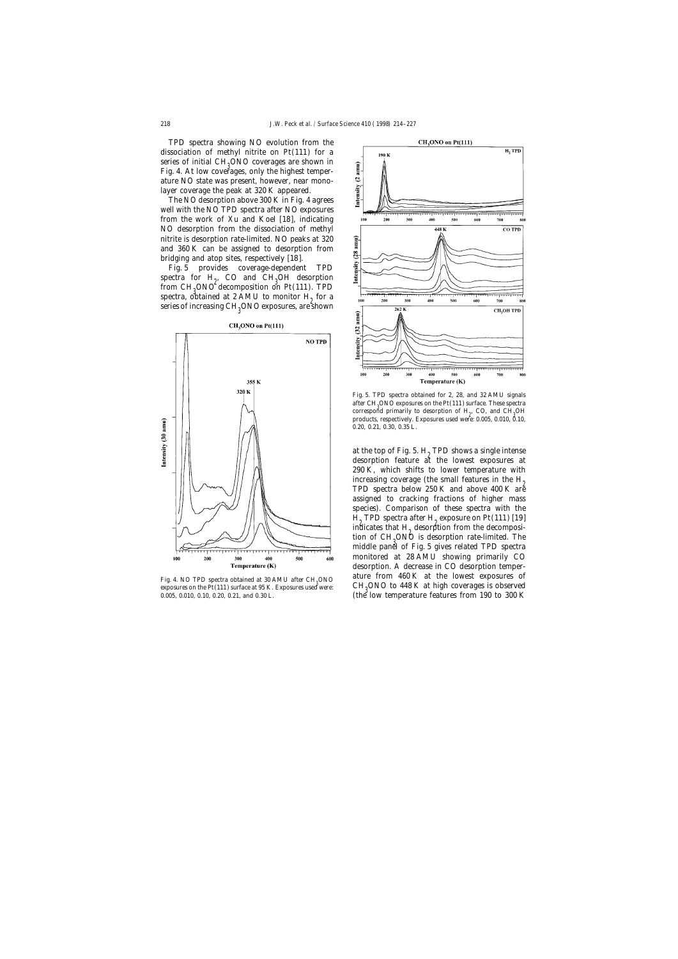TPD spectra showing NO evolution from the dissociation of methyl nitrite on Pt(111) for a series of initial  $CH<sub>3</sub>ONO$  coverages are shown in<br>Fig. 4. At law equators, only the highest temper Fig. 4. At low coverages, only the highest temperature NO state was present, however, near monolayer coverage the peak at 320 K appeared.

The NO desorption above 300 K in Fig. 4 agrees well with the NO TPD spectra after NO exposures from the work of Xu and Koel [18], indicating NO desorption from the dissociation of methyl nitrite is desorption rate-limited. NO peaks at 320 and 360 K can be assigned to desorption from bridging and atop sites, respectively [18].

Fig. 5 provides coverage-dependent TPD spectra for  $H_2$ , CO and CH<sub>3</sub>OH desorption<br>from CH<sub>2</sub>OMO desegnecition on Pt (111) TPD from CH<sub>2</sub>ONO<sup>o</sup> decomposition on Pt(111). TPD<br>spectre, obtained at 2.AMU to manitar H, for a spectra, obtained at 2 AMU to monitor  $H<sub>0</sub>$  for a series of increasing CH $_{\rm 3}$ ONO exposures, are shown



Exposures on the Pt(111) surface at 95 K. Exposures used were: CH<sub>3</sub>ONO to 448 K at high coverages is observed<br>0.005, 0.010, 0.10, 0.20, 0.21, and 0.30 L. (the low temperature features from 190 to 300 K



Fig. 5. TPD spectra obtained for 2, 28, and 32 AMU signals after CH<sub>3</sub>ONO exposures on the Pt(111) surface. These spectra<br>surface. These spectra is a second control of H<sub>2</sub>CO and CH<sub>2</sub>OH<sub>2</sub> correspond primarily to desorption of  $H_2$ , CO, and  $CH_3OH$ <br>and uses accordingly European and uses 0.005, 0.010  $\frac{8}{10}$ products, respectively. Exposures used were: 0.005, 0.010, 0.10, 0.20, 0.21, 0.30, 0.35 L.

at the top of Fig. 5.  $H<sub>2</sub>$  TPD shows a single intense desorption feature at the lowest exposures at 290 K, which shifts to lower temperature with increasing coverage (the small features in the  $H_2$  TPD spectra below 250 K and above 400 K are assigned to cracking fractions of higher mass species). Comparison of these spectra with the  $H<sub>9</sub>$  TPD spectra after  $H<sub>9</sub>$  exposure on Pt(111) [19] indicates that  $H<sub>2</sub>$  desorption from the decomposition of CH<sub>3</sub>ONO is desorption rate-limited. The<br>middle nam<sup>31</sup> of Fig. 5 gives related TPD enestre middle panel of Fig. 5 gives related TPD spectra monitored at 28 AMU showing primarily CO desorption. A decrease in CO desorption temper-Fig. 4. NO TPD spectra obtained at 30 AMU after CH<sub>3</sub>ONO **ature from 460 K at the lowest exposures** of  $\frac{1}{2}$  cH ONO to 448 K at high coverages is observed  $0.006$  (the low temperature features from 190 to 300 K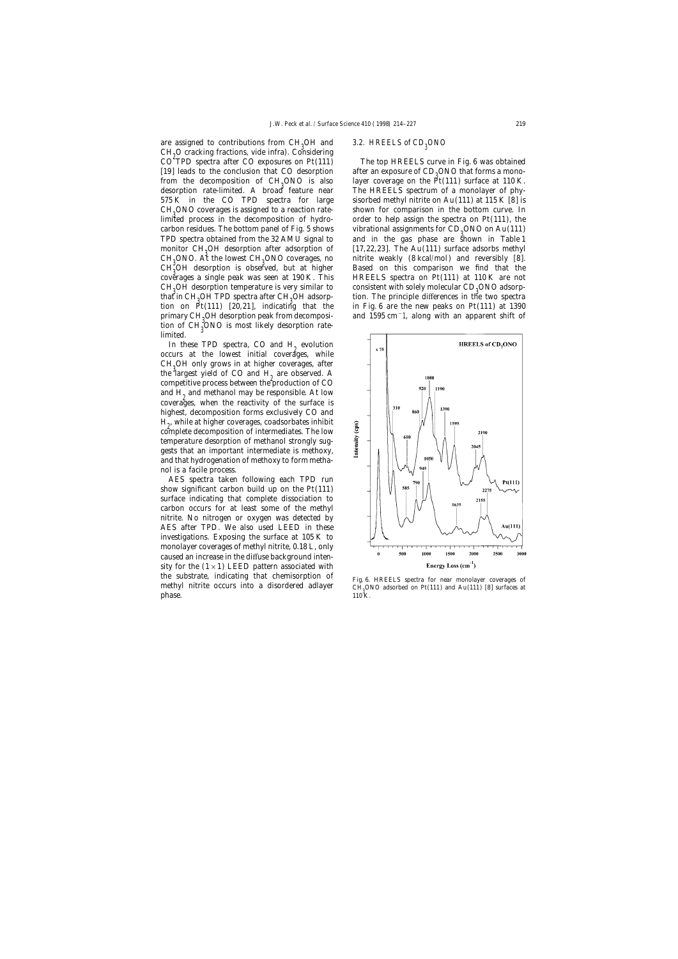are assigned to contributions from  $CH<sub>0</sub>OH$  and  $CH<sub>2</sub>O$  cracking fractions, vide infra). Considering  $CO<sub>2</sub>$  TPD graphs often  $CO<sub>2</sub>$  crossures on  $P<sub>1</sub>(111)$  $CO<sup>2</sup> TPD$  spectra after CO exposures on Pt(111) The top HREELS curve in Fig. 6 was obtained from the decomposition of CH<sub>3</sub>ONO is also<br>desorption rate-limited. A broad feature near CH<sub>0</sub>ONO coverages is assigned to a reaction ratemonitor CH<sub>0</sub>OH desorption after adsorption of  $CH<sub>3</sub>ONO.$  At the lowest  $CH<sub>3</sub>$ <br> $CH<sub>3</sub>ON.$  decention is above CH<sub>0</sub>OH desorption temperature is very similar to that in CH<sub>3</sub>OH TPD spectra after CH<sub>3</sub><br>tion on Dt(111), [20,21], indicativ primary CH<sub>2</sub>OH desorption peak from decomposition of CH3ONO is most likely desorption ratelimited.

In these TPD spectra, CO and  $H<sub>2</sub>$  evolution occurs at the lowest initial coverages, while  $CH<sub>3</sub>OH$  only grows in at higher coverages, after the largest viale of  $CO$  and H are observed. the largest yield of CO and  $H<sub>2</sub>$  are observed. A competitive process between the production of  $CO$ and  $H<sub>o</sub>$  and methanol may be responsible. At low coverages, when the reactivity of the surface is highest, decomposition forms exclusively CO and  $H_p$ , while at higher coverages, coadsorbates inhibit<br>complete decomposition of intermediates. The low complete decomposition of intermediates. The low temperature desorption of methanol strongly suggests that an important intermediate is methoxy, and that hydrogenation of methoxy to form methanol is a facile process.

AES spectra taken following each TPD run show significant carbon build up on the Pt(111) surface indicating that complete dissociation to carbon occurs for at least some of the methyl nitrite. No nitrogen or oxygen was detected by AES after TPD. We also used LEED in these investigations. Exposing the surface at 105 K to monolayer coverages of methyl nitrite, 0.18 L, only caused an increase in the diffuse background intensity for the  $(1 \times 1)$  LEED pattern associated with the substrate, indicating that chemisorption of Fig. 6. HREELS spectra for near monolayer coverages of methyl nitrite occurs into a disordered adlayer  $CH_9ONO$  adsorbed on Pt(111) and Au(111) [8] surfaces at the spectra fo phase.  $110^4$ K.

## OH and *3.2. HREELS of CD*<sub>3</sub>ONO

[19] leads to the conclusion that CO desorption after an exposure of  $CD<sub>o</sub>ONO$  that forms a monolayer coverage on the  $Pt(111)$  surface at 110 K. The HREELS spectrum of a monolayer of phy-575 K in the CO TPD spectra for large sisorbed methyl nitrite on Au(111) at 115 K [8] is  $CH<sub>3</sub>ONO$  coverages is assigned to a reaction rate-<br>limited process in the decomposition of hydro-<br>order to help assign the spectra on Pt(111), the order to help assign the spectra on  $Pt(111)$ , the carbon residues. The bottom panel of Fig. 5 shows vibrational assignments for  $CD_3ONO$  on Au(111)<br>TPD spectra obtained from the 32 AMU signal to and in the gas phase are shown in Table 1 and in the gas phase are shown in Table 1 [17,22,23]. The Au(111) surface adsorbs methyl nitrite weakly  $(8 \text{ kcal/mol})$  and reversibly  $[8]$ .  $CH_2^{\circ}OH$  desorption is observed, but at higher  $\qquad$  Based on this comparison we find that the 3 comparison of 110 K are not coverages a single peak was seen at 190 K. This HREELS spectra on  $Pt(111)$  at 110 K are not consistent with solely molecular  $CD<sub>3</sub> ONO$  adsorption. The principle differences in the two spectra tion on  $Pt(111)$  [20,21], indicating that the in Fig. 6 are the new peaks on Pt(111) at 1390 and 1595 cm<sup>-</sup>1, along with an apparent shift of

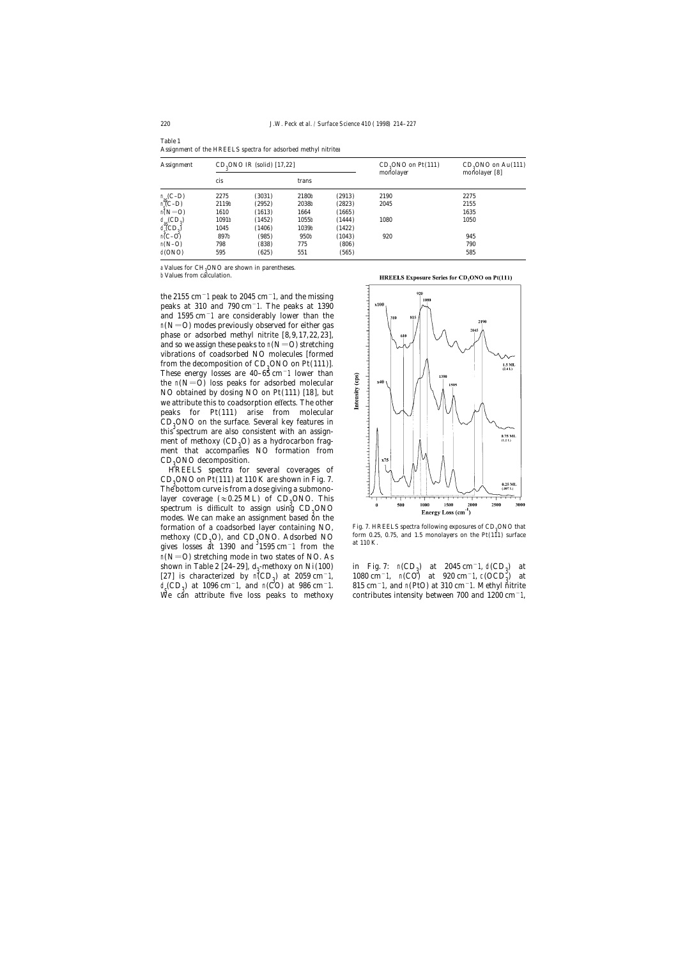| <b>Assignment</b>                                                                                                                                         | $CD9ONO$ IR (solid) [17,22] |        |       |        | $CD9ONO$ on $Pt(111)$<br>monolayer | $CD_3$ ONO on Au(111)<br>monolayer $[8]$ |
|-----------------------------------------------------------------------------------------------------------------------------------------------------------|-----------------------------|--------|-------|--------|------------------------------------|------------------------------------------|
|                                                                                                                                                           | cis                         |        | trans |        |                                    |                                          |
|                                                                                                                                                           | 2275                        | (3031) | 2180b | (2913) | 2190                               | 2275                                     |
| $\begin{array}{l} n_{\textrm{aS}}(\textrm{C}-\textrm{D})\\ n_{\textrm{s}}(\textrm{C}-\textrm{D})\\ n(N=\textrm{O}) \end{array}$                           | 2119b                       | (2952) | 2038b | (2823) | 2045                               | 2155                                     |
|                                                                                                                                                           | 1610                        | (1613) | 1664  | (1665) |                                    | 1635                                     |
|                                                                                                                                                           | 1091b                       | (1452) | 1055b | (1444) | 1080                               | 1050                                     |
| $\begin{array}{l} \mathbf{d}_{\mathbf{a}}(CD_3) \\ \mathbf{d}_{\mathbf{c}}^{\mathbf{a}\mathbf{c}}(CD_3) \\ \mathbf{n}(\mathbf{C}-\mathbf{O}) \end{array}$ | 1045                        | (1406) | 1039b | (1422) |                                    |                                          |
|                                                                                                                                                           | 897b                        | (985)  | 950b  | (1043) | 920                                | 945                                      |
| $n(N-O)$                                                                                                                                                  | 798                         | (838)  | 775   | (806)  |                                    | 790                                      |
| d(ONO)                                                                                                                                                    | 595                         | (625)  | 551   | (565)  |                                    | 585                                      |

Table 1 Assignment of the HREELS spectra for adsorbed methyl nitritea

a Values for CH<sub>3</sub>ONO are shown in parentheses.

b Values from calculation.

the 2155 cm−1 peak to 2045 cm−1, and the missing peaks at 310 and 790 cm−1. The peaks at 1390 and 1595 cm−1 are considerably lower than the  $n(N=0)$  modes previously observed for either gas phase or adsorbed methyl nitrite [8,9,17,22,23], and so we assign these peaks to  $n(N=O)$  stretching vibrations of coadsorbed NO molecules [formed from the decomposition of  $CD<sub>3</sub>ONO$  on Pt(111)].<br>These aperay losses are 40,  $6\frac{1}{2}$  cm<sup>-1</sup> lower than These energy losses are 40–65 cm−1 lower than the  $n(N=0)$  loss peaks for adsorbed molecular NO obtained by dosing NO on Pt(111) [18], but we attribute this to coadsorption effects. The other peaks for Pt(111) arise from molecular  $CD<sub>3</sub>ONO$  on the surface. Several key features in this approximation of the sector. this spectrum are also consistent with an assignment of methoxy  $(CD_3O)$  as a hydrocarbon frag-<br>ment, that, accompanies. NO, formation, from ment that accompanies NO formation from CD<sub>3</sub>ONO decomposition.<br>LIDEELS spectre for

HREELS spectra for several coverages of  $CD_3$ ONO on Pt(111) at 110 K are shown in Fig. 7.<br>The hottom surve is from a dose sixing a submane. The bottom curve is from a dose giving a submonolayer coverage  $(\approx 0.25 \text{ ML})$  of  $CD_3$ ONO. This spectrum is difficult to assign using  $CD<sub>3</sub>ONO$ modes. We can make an assignment based on the formation of a coadsorbed layer containing NO, methoxy  $(CD_3O)$ , and  $CD_3ONO$ . Adsorbed NO form 0.25, 0.75, and 1.5 monolayers on the Pt(111) surface at 110 K. gives losses at 1390 and  $31595 \text{ cm}^{-1}$  from the at 110 K.  $n(N=O)$  stretching mode in two states of NO. As shown in Table 2 [24–29], d<sub>3</sub>-methoxy on Ni(100) in Fig. 7:  $n(CD_3)$ <br>[27] is shared with  $n(CD_3)$  at 2050 sm<sup>-1</sup> at 1080 sm<sup>-1</sup> at  $(CD_3)$  $1080 \text{ cm}^{-1}$ , n(CO) at 920 cm<sup>-1</sup>, c(OCD<sup>3</sup>) at  $1080 \text{ cm}^{-1}$ , n(CO) at 320 cm<sup>-1</sup>, c(OCD<sup>3</sup>) at  $\frac{d}{dx}$  $\frac{CD}{2}$ 

**HREELS Exposure Series for CD, ONO on Pt(111)** 



Fig. 7. HREELS spectra following exposures of  $CD_3$ ONO that form 0.25, 0.75, and 1.5 monolayers on the Pt(111) surface

) at 2045 cm<sup>-1</sup>, d(CD<sub>3</sub>) at  $\mathcal{R}(\mathcal{O}D_3)$  at 1000 cm−1, and n( $\mathcal{O}O$ ) at 500 cm−1. The original intensity between 700 and 1200 cm<sup>−1</sup>, we can attribute five loss peaks to methoxy contributes intensity between 700 and 1200 cm<sup>−1</sup>,  $815$  cm<sup>−1</sup>, and n(PtO) at 310 cm<sup>−1</sup>. Methyl nitrite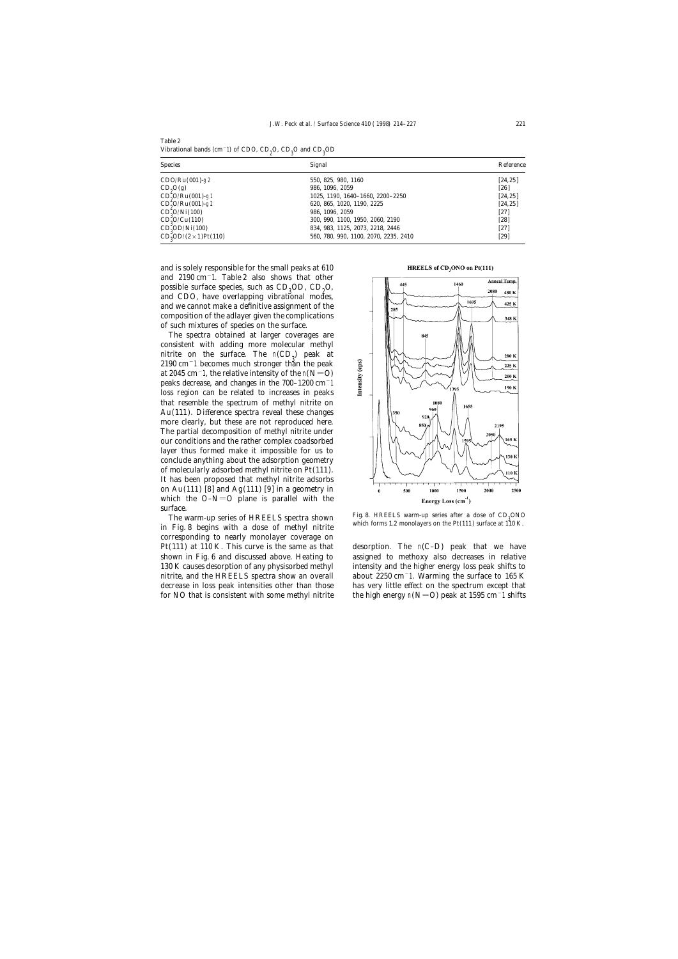Table 2 Vibrational bands (cm−1) of CDO, CD<sub>2</sub>O, CD<sub>3</sub>O and CD<sub>3</sub>OD

| <b>Species</b>                         | Signal                                | Reference |  |
|----------------------------------------|---------------------------------------|-----------|--|
| $CDO/Ru(001) - g2$                     | 550, 825, 980, 1160                   | [24, 25]  |  |
| $CD_0O(g)$                             | 986, 1096, 2059                       | [26]      |  |
| $CD_0^{\circ}O/Ru(001)$ -g1            | 1025, 1190, 1640-1660, 2200-2250      | [24, 25]  |  |
| $CD_9^{\sim}O/Ru(001)$ -g2             | 620, 865, 1020, 1190, 2225            | [24, 25]  |  |
| $CD_9^{\circ}O/Ni(100)$                | 986, 1096, 2059                       | [27]      |  |
| $CD_9^9O/Cu(110)$                      | 300, 990, 1100, 1950, 2060, 2190      | [28]      |  |
| $CD_9^{\prime}OD/Ni(100)$              | 834, 983, 1125, 2073, 2218, 2446      | [27]      |  |
| $CD_9^{\prime}OD/(2 \times 1)$ Pt(110) | 560, 780, 990, 1100, 2070, 2235, 2410 | [29]      |  |

and is solely responsible for the small peaks at 610 and 2190 cm−1. Table 2 also shows that other possible surface species, such as  $CD<sub>3</sub>OD$ ,  $CD<sub>2</sub>O$ ,  $CD<sub>3</sub>O$ , and  $CDO<sub>3</sub>$  beys everlepping vibrational modes. and CDO, have overlapping vibrational modes, and we cannot make a definitive assignment of the composition of the adlayer given the complications of such mixtures of species on the surface.

The spectra obtained at larger coverages are consistent with adding more molecular methyl nitrite on the surface. The  $n(CD_3)$  peak at  $2100 \text{ cm}^{-1}$  becomes much strappen than the negligi 2190 cm−1 becomes much stronger than the peak at 2045 cm<sup> $-1$ </sup>, the relative intensity of the n(N=O) peaks decrease, and changes in the 700–1200 cm−1 loss region can be related to increases in peaks that resemble the spectrum of methyl nitrite on Au(111). Difference spectra reveal these changes more clearly, but these are not reproduced here. The partial decomposition of methyl nitrite under our conditions and the rather complex coadsorbed layer thus formed make it impossible for us to conclude anything about the adsorption geometry of molecularly adsorbed methyl nitrite on Pt(111). It has been proposed that methyl nitrite adsorbs on Au(111) [8] and Ag(111) [9] in a geometry in which the  $O-N=O$  plane is parallel with the surface.

The warm-up series of HREELS spectra shown in Fig. 8 begins with a dose of methyl nitrite corresponding to nearly monolayer coverage on

## HREELS of CD<sub>2</sub>ONO on Pt(111)



Fig. 8. HREELS warm-up series after a dose of  $CD<sub>3</sub>ONO$  which forms 1.2 monolayers on the Pt(111) surface at 110 K.

Pt(111) at 110 K. This curve is the same as that desorption. The  $n(C-D)$  peak that we have shown in Fig. 6 and discussed above. Heating to assigned to methoxy also decreases in relative 130 K causes desorption of any physisorbed methyl intensity and the higher energy loss peak shifts to nitrite, and the HREELS spectra show an overall about 2250 cm−1. Warming the surface to 165 K decrease in loss peak intensities other than those has very little effect on the spectrum except that for NO that is consistent with some methyl nitrite the high energy n(N=O) peak at 1595 cm<sup>-</sup>1 shifts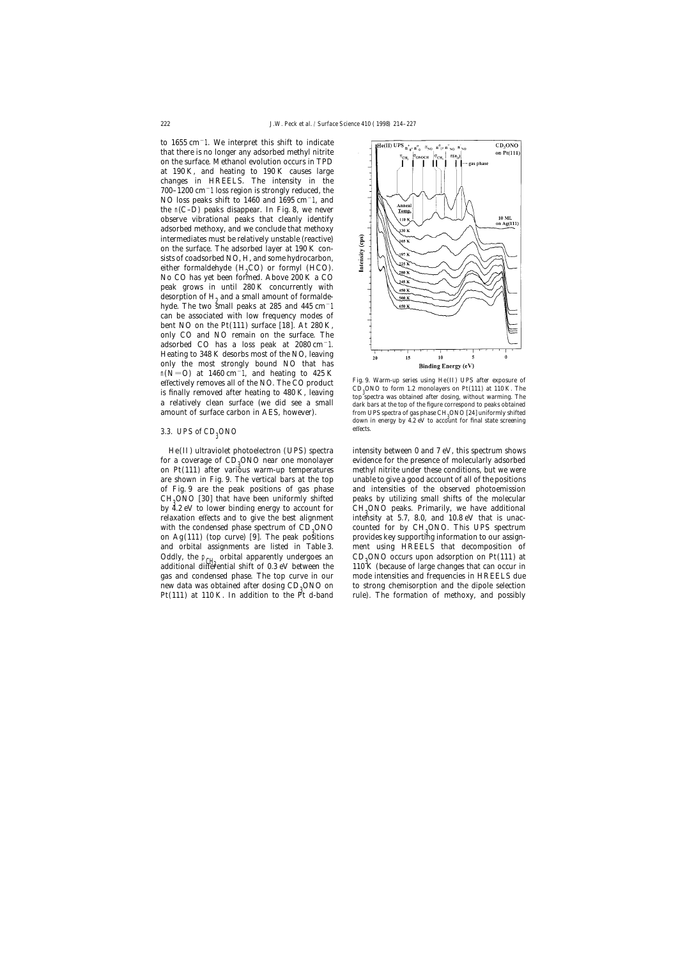to 1655 cm−1. We interpret this shift to indicate that there is no longer any adsorbed methyl nitrite on the surface. Methanol evolution occurs in TPD at 190 K, and heating to 190 K causes large changes in HREELS. The intensity in the 700–1200 cm−1 loss region is strongly reduced, the NO loss peaks shift to 1460 and 1695 cm−1, and the n(C–D) peaks disappear. In Fig. 8, we never observe vibrational peaks that cleanly identify adsorbed methoxy, and we conclude that methoxy intermediates must be relatively unstable (reactive) on the surface. The adsorbed layer at 190 K consists of coadsorbed NO, H, and some hydrocarbon, either formaldehyde  $(H_2CO)$  or formyl (HCO). No CO has yet been formed. Above 200 K a CO peak grows in until 280 K concurrently with desorption of  $H<sub>2</sub>$  and a small amount of formaldehyde. The two small peaks at 285 and 445 cm $^{-1}$ can be associated with low frequency modes of bent NO on the  $Pt(111)$  surface [18]. At 280 K, only CO and NO remain on the surface. The adsorbed CO has a loss peak at 2080 cm−1. Heating to 348 K desorbs most of the NO, leaving only the most strongly bound NO that has n(N=O) at 1460 cm<sup>-</sup>1, and heating to 425 K<br>effectively removes all of the NO. The CO product<br>is finally removed after heating to 480 K, leaving<br>to  $\frac{120}{3}$  CD<sub>3</sub>ONO to form 1.2 monolayers on Pt(111) at 110 K. The<br>top is finally removed after heating to 480 K, leaving<br>a relatively clean surface (we did see a small<br>a relatively clean surface (we did see a small<br>dark bars at the top of the figure correspond to peaks obtained amount of surface carbon in AES, however).

## 3.3. *UPS of CD*<sub>3</sub>ONO effects.

on  $Pt(111)$  after various warm-up temperatures methyl nitrite under these conditions, but we were are shown in Fig. 9. The vertical bars at the top unable to give a good account of all of the positions of Fig. 9 are the peak positions of gas phase and intensities of the observed photoemission by  $4.2$  eV to lower binding energy to account for CH<sub>3</sub>ONO peaks. Primarily, we have additional relaxation effects and to give the best alignment intensity at 5.7, 8.0, and 10.8 eV that is unacrelaxation effects and to give the best alignment with the condensed phase spectrum of  $CD<sub>3</sub>ONO$ on  $Ag(111)$  (top curve) [9]. The peak positions provides key supporting information to our assignand orbital assignments are listed in Table 3. ment using HREELS that decomposition of gas and condensed phase. The top curve in our mode intensities and frequencies in HREELS due new data was obtained after dosing  $CD_3ONO$  on  $Pt(111)$  at 110 K. In addition to the  $Pt$  d-band



from UPS spectra of gas phase CH<sub>2</sub>ONO [24] uniformly shifted down in energy by 4.2 eV to account for final state screening

He(II) ultraviolet photoelectron ( UPS) spectra intensity between 0 and 7 eV, this spectrum shows for a coverage of CD<sub>3</sub>ONO near one monolayer evidence for the presence of molecularly adsorbed<br>on Pt(111) ofter various warm up temperatures a methyl pitrits under these conditions, but we were  $CH<sub>9</sub>ONO [30]$  that have been uniformly shifted peaks by utilizing small shifts of the molecular  $\frac{3}{2}$  aV to lower hinding aparw to account for  $CH<sub>2</sub> O<sub>2</sub> CO$  peaks Drimarily, we have additional CH<sub>2</sub>ONO peaks. Primarily, we have additional  $\rm ONO$  counted for by  $\rm CH_3$  ONO. This UPS spectrum Oddly, the  $p_{CH_3}$  orbital apparently undergoes an an CD<sub>3</sub>ONO occurs upon adsorption on Pt(111) at additional differential shift of 0.3 eV between the and 110 K (because of large changes that can occur in additional differential shift of 0.3 eV between the 110 K (because of large changes that can occur in to strong chemisorption and the dipole selection rule). The formation of methoxy, and possibly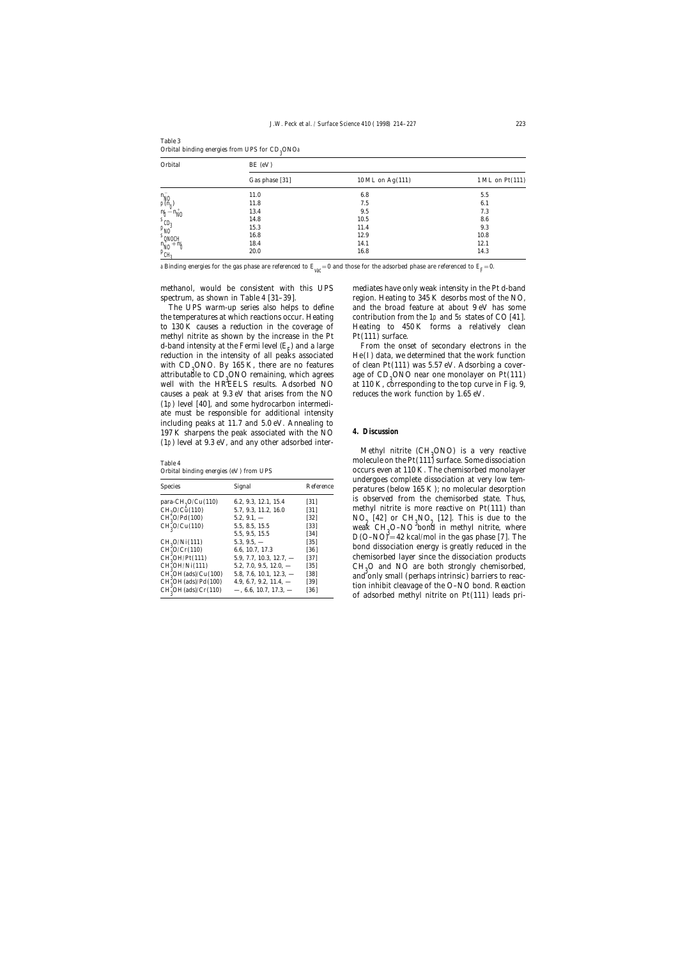| Orbital                                                                                                              | $BE$ (eV)      |                    |                 |  |  |  |
|----------------------------------------------------------------------------------------------------------------------|----------------|--------------------|-----------------|--|--|--|
|                                                                                                                      | Gas phase [31] | 10 ML on $Ag(111)$ | 1 ML on Pt(111) |  |  |  |
|                                                                                                                      | 11.0           | 6.8                | 5.5             |  |  |  |
| $n_{N0}^{-}$                                                                                                         | 11.8           | 7.5                | 6.1             |  |  |  |
| $n_{\text{NO}}$                                                                                                      | 13.4           | 9.5                | 7.3             |  |  |  |
|                                                                                                                      | 14.8           | 10.5               | 8.6             |  |  |  |
| $\begin{array}{c}\nR_0 \stackrel{\sim}{=} \n\text{SD}_3 \\ \text{P}_0 \stackrel{\sim}{=} \n\text{PO}_3\n\end{array}$ | 15.3           | 11.4               | 9.3             |  |  |  |
| $s_{QNOCH}$                                                                                                          | 16.8           | 12.9               | 10.8            |  |  |  |
| $n_{N0}^{+} + n_{0}^{+}$                                                                                             | 18.4           | 14.1               | 12.1            |  |  |  |
| $P_{CH_3}$                                                                                                           | 20.0           | 16.8               | 14.3            |  |  |  |
|                                                                                                                      |                |                    |                 |  |  |  |

Table 3 Orbital binding energies from UPS for  $\mathrm{CD}_3^\mathrm{ONOa}$ 

a Binding energies for the gas phase are referenced to  $E_{\rm vac}^{}=0$  and those for the adsorbed phase are referenced to  $E_{\rm F}^{}=0.$ 

methanol, would be consistent with this UPS mediates have only weak intensity in the Pt d-band

the temperatures at which reactions occur. Heating contribution from the 1p and 5s states of CO [41]. to 130 K causes a reduction in the coverage of Heating to 450 K forms a relatively clean methyl nitrite as shown by the increase in the  $Pt$   $Pt(111)$  surface. d-band intensity at the Fermi level  $(E_{\rm E})$  and a large reduction in the intensity of all peaks associated He(I) data, we determined that the work function with  $CD<sub>0</sub>ONO$ . By 165 K, there are no features attributable to  $CD<sub>9</sub>ONO$  remaining, which agrees age of  $CD<sub>9</sub>ONO$  near one monolayer on Pt(111)  $2^{3}$  and  $2^{3}$  at 110  $K<sub>2</sub>$  are proponding to the top guyse in Fig. 0. well with the HREELS results. Adsorbed NO at 110 K, corresponding to the top curve in Fig. 9, causes a peak at 9.3 eV that arises from the NO reduces the work function by 1.65 eV. (1p) level [40], and some hydrocarbon intermediate must be responsible for additional intensity including peaks at 11.7 and 5.0 eV. Annealing to 197 K sharpens the peak associated with the NO **4. Discussion** (1p) level at 9.3 eV, and any other adsorbed inter-

| <b>Species</b>                         | Signal                     | Reference          | undergoes complete dissociation at very low tem-<br>peratures (below 165 K); no molecular desorption |
|----------------------------------------|----------------------------|--------------------|------------------------------------------------------------------------------------------------------|
| para-CH <sub>0</sub> O/Cu(110)         | 6.2, 9.3, 12.1, 15.4       | $\lceil 31 \rceil$ | is observed from the chemisorbed state. Thus,                                                        |
| CH <sub>0</sub> O/C <sub>u</sub> (110) | 5.7, 9.3, 11.2, 16.0       | $[31]$             | methyl nitrite is more reactive on $Pt(111)$ than                                                    |
| $CH_0^{\sim}O/Pd(100)$                 | $5.2, 9.1, -$              | $[32]$             | $NO9$ [42] or $CH9NO9$ [12]. This is due to the                                                      |
| $CH_9^{\circ}O/Cu(110)$                | 5.5, 8.5, 15.5             | [33]               | weak CH <sub>2</sub> O-NO bond in methyl nitrite, where                                              |
|                                        | 5.5, 9.5, 15.5             | [34]               | $D(O-NO)^2 = 42$ kcal/mol in the gas phase [7]. The                                                  |
| CH <sub>0</sub> O/Ni(111)              | $5.3, 9.5, -$              | $[35]$             |                                                                                                      |
| CH <sub>0</sub> <sup>0</sup> /Cr(110)  | 6.6, 10.7, 17.3            | [36]               | bond dissociation energy is greatly reduced in the                                                   |
| $CH_0^{\prime}OH/Pt(111)$              | $5.9, 7.7, 10.3, 12.7, -$  | $[37]$             | chemisorbed layer since the dissociation products                                                    |
| CH <sub>0</sub> OH/Ni(111)             | $5.2, 7.0, 9.5, 12.0, -$   | $[35]$             | $CH0O$ and NO are both strongly chemisorbed,                                                         |
| $CH0oOH (ads)/Cu(100)$                 | $5.8, 7.6, 10.1, 12.3, -$  | $[38]$             | and only small (perhaps intrinsic) barriers to reac-                                                 |
| $CH_0^\prime\text{OH}(ads)/Pd(100)$    | 4.9, 6.7, 9.2, 11.4, $-$   | $[39]$             | tion inhibit cleavage of the O-NO bond. Reaction                                                     |
| $CH_o^{\circ}OH$ (ads)/ $Cr(110)$      | $-$ , 6.6, 10.7, 17.3, $-$ | [36]               |                                                                                                      |
|                                        |                            |                    | of adsorbed methyl nitrite on Pt(111) leads pri-                                                     |

spectrum, as shown in Table 4 [31-39]. region. Heating to 345 K desorbs most of the NO, The UPS warm-up series also helps to define and the broad feature at about 9 eV has some

> From the onset of secondary electrons in the of clean Pt(111) was  $5.57$  eV. Adsorbing a cover-

Methyl nitrite  $(\text{CH}_3\text{ONO})$  is a very reactive<br>playels on the Pt(111) surface Some dissociation molecule on the Pt(111) surface. Some dissociation Table 4 Orbital binding energies (eV ) from UPS occurs even at 110 K. The chemisorbed monolayer undergoes complete dissociation at very low tem-<br>peratures (below 165 K); no molecular desorption is observed from the chemisorbed state. Thus, methyl nitrite is more reactive on  $Pt(111)$  than  $O/Pd(100)$  5.2, 9.1,  $-$  [32]  $NO_2$  [42] or  $CH_3NO_2$  [12]. This is due to the  $O_2$  [12]  $100$   $100$   $100$   $100$   $100$   $100$   $100$   $100$   $100$   $100$   $100$   $100$   $100$   $100$   $100$   $100$   $100$   $100$   $100$   $100$   $100$   $1$  $D(O-NO) = 42$  kcal/mol in the gas phase [7]. The bond dissociation energy is greatly reduced in the chemisorbed layer since the dissociation products  $CH<sub>2</sub>O$  and NO are both strongly chemisorbed, and only small (perhaps intrinsic) barriers to reaction inhibit cleavage of the O–NO bond. Reaction of adsorbed methyl nitrite on  $Pt(111)$  leads pri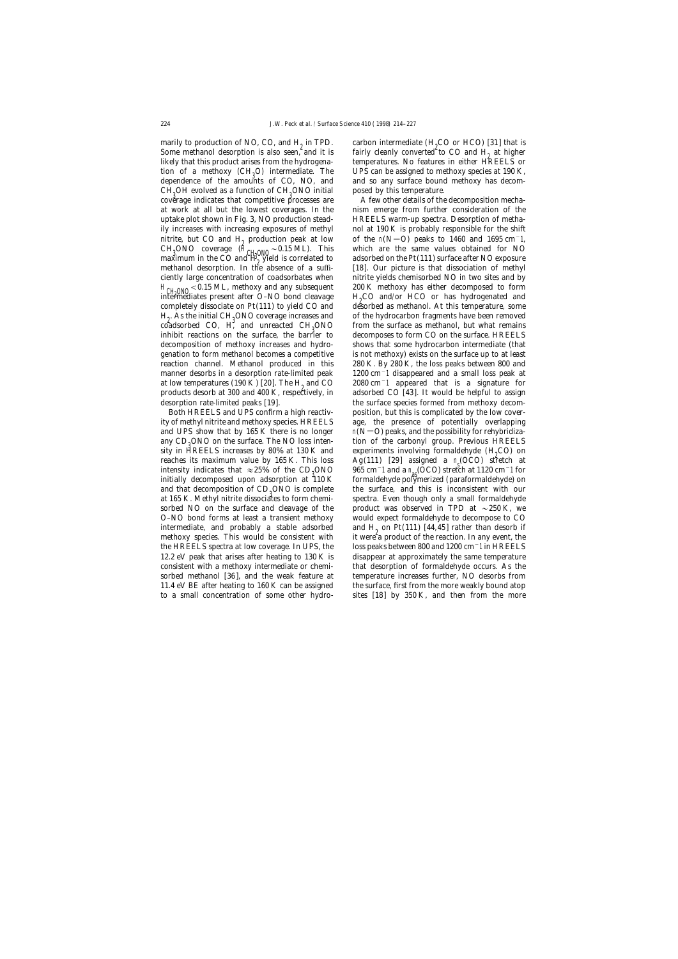marily to production of NO, CO, and  $H_2$  in TPD.<br>Some methanol desorption is also seen, and it is likely that this product arises from the hydrogenation of a methoxy  $(CH<sub>3</sub>O)$  intermediate. The UPS can be assigned to methoxy species at 190 K,  $\frac{1}{3}$  denominate at  $190$  K, dependence of the amounts of CO, NO, and and so any surface bound methoxy has decom- $CH<sub>3</sub>OH$  evolved as a function of  $CH<sub>3</sub>ONO$  initial posed by this temperature.  $CH_3ONO$  coverage  $(H_{CH_2ONO} \sim 0.15 \text{ ML})$ . This are the same values obtained for NO 3 maximum in the CO and  $H_3$  yield is correlated to adsorbed on the Pt(111) surface after NO exposure maximum in the CO and  $\overline{H}^o_2$  yield is correlated to adsorbed on the Pt(111) surface after NO exposure H<sub>CH20N0</sub> < 0.15 ML, methoxy and any subsequent and 200 K methoxy has either decomposed to form intermediates present after O–NO bond cleavage and H<sub>2</sub>CO and/or HCO or has hydrogenated and intermediates present after  $O-NO$  bond cleavage completely dissociate on  $Pt(111)$  to yield  $CO$  and  $H<sub>2</sub>$ . As the initial CH<sub>3</sub> coadsorbed CO, H, and unreacted  $CH<sub>3</sub>ONO$  from the surface as methanol, but what remains  $\frac{1}{100}$  in the surface surface in the surface in  $\frac{1}{100}$  in the surface in the surface in  $\frac{1}{100}$  in the surface in  $\$ products desorb at 300 and 400 K, respectively, in desorption rate-limited peaks [19]. the surface species formed from methoxy decom-

and UPS show that by 165 K there is no longer  $n(N=O)$  peaks, and the possibility for rehybridizaany  $CD<sub>0</sub>ONO$  on the surface. The NO loss intensity in HREELS increases by  $80\%$  at 130 K and reaches its maximum value by 165 K. This loss reaches its maximum value by 165 K. This loss  $\{Ag(111) \}$  [29] assigned a n (OCO) stretch at indicates that  $\alpha$  25% of the CD-ONO as 065 cm<sup>-1</sup> and a n (OCO) stretch at 1120 cm<sup>-1</sup> for intensity indicates that  $\approx 25\%$  of the CD<sub>3</sub>ONO<br>initially decomposed upon adsorption at 110 K and that decomposition of  $CD_3$ ONO is complete at 165 K. Methyl nitrite dissociates to form chemi-O–NO bond forms at least a transient methoxy would expect formaldehyde to decompose to CO

carbon intermediate  $(H<sub>0</sub>CO$  or HCO) [31] that is fairly cleanly converted to CO and  $H_2$  at higher temperatures. No features in either HREELS or

coverage indicates that competitive processes are A few other details of the decomposition mechaat work at all but the lowest coverages. In the nism emerge from further consideration of the uptake plot shown in Fig. 3, NO production stead- HREELS warm-up spectra. Desorption of methaily increases with increasing exposures of methyl nol at 190 K is probably responsible for the shift nitrite, but CO and H<sub>2</sub> production peak at low of the n(N=O) peaks to 1460 and 1695 cm<sup>-1</sup>, CH<sub>2</sub>ONO coverage (H<sub>ou over  $\alpha$  - 0.15 ML). This which are the same values obtained for NO</sub> methanol desorption. In the absence of a suffi-<br>[18]. Our picture is that dissociation of methyl ciently large concentration of coadsorbates when nitrite yields chemisorbed NO in two sites and by H<sub>o</sub>CO and/or HCO or has hydrogenated and desorbed as methanol. At this temperature, some of the hydrocarbon fragments have been removed inhibit reactions on the surface, the barrier to decomposes to form CO on the surface. HREELS decomposition of methoxy increases and hydro- shows that some hydrocarbon intermediate (that genation to form methanol becomes a competitive is not methoxy) exists on the surface up to at least reaction channel. Methanol produced in this 280 K. By 280 K, the loss peaks between 800 and manner desorbs in a desorption rate-limited peak 1200 cm−1 disappeared and a small loss peak at at low temperatures (190 K) [20]. The H<sub>2</sub> and CO  $\qquad$  2080 cm<sup>-</sup>1 appeared that is a signature for products desorb at 300 and 400 K, respectively, in adsorbed CO [43]. It would be helpful to assign Both HREELS and UPS confirm a high reactiv- position, but this is complicated by the low coverity of methyl nitrite and methoxy species. HREELS age, the presence of potentially overlapping tion of the carbonyl group. Previous HREELS experiments involving formaldehyde  $(H<sub>o</sub>CO)$  on ONO 965 cm<sup>-</sup>1 and a n (OCO) stretch at 1120 cm<sup>-1</sup> for  $\frac{10 \text{ K}}{2}$  for  $\frac{10 \text{ K}}{2}$ formaldehyde polymerized (paraformaldehyde) on the surface, and this is inconsistent with our spectra. Even though only a small formaldehyde sorbed NO on the surface and cleavage of the product was observed in TPD at  $\sim$  250 K, we intermediate, and probably a stable adsorbed and  $H_2$  on Pt(111) [44,45] rather than desorb if methoxy species. This would be consistent with it were a product of the reaction. In any event, the it were a product of the reaction. In any event, the the HREELS spectra at low coverage. In UPS, the loss peaks between 800 and 1200 cm−1 in HREELS 12.2 eV peak that arises after heating to 130 K is disappear at approximately the same temperature consistent with a methoxy intermediate or chemi- that desorption of formaldehyde occurs. As the sorbed methanol [36], and the weak feature at temperature increases further, NO desorbs from 11.4 eV BE after heating to 160 K can be assigned the surface, first from the more weakly bound atop to a small concentration of some other hydro- sites [18] by 350 K, and then from the more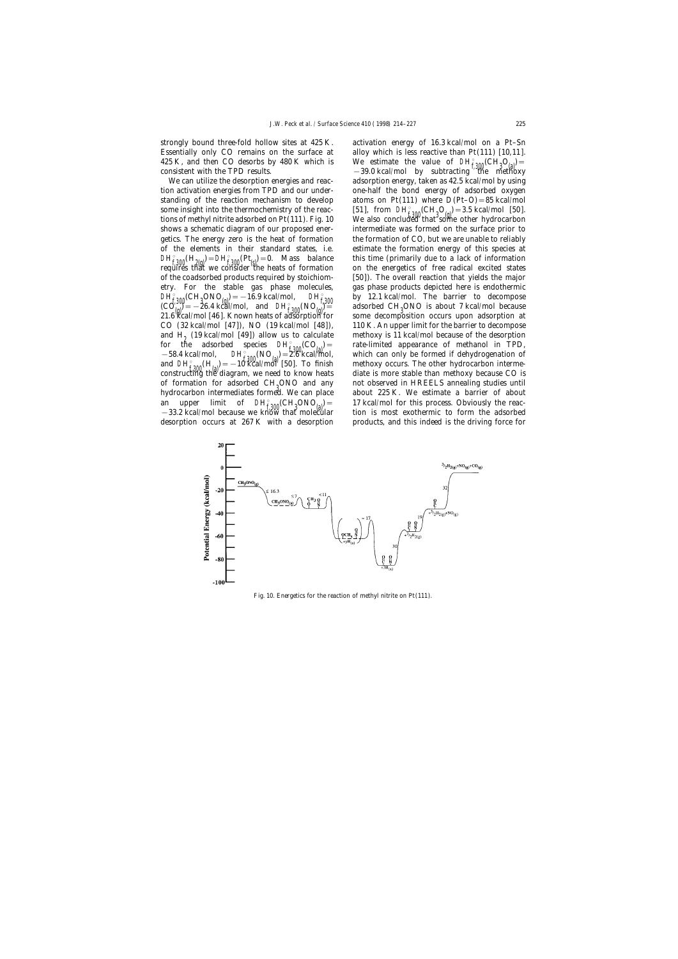strongly bound three-fold hollow sites at 425 K. activation energy of 16.3 kcal/mol on a Pt–Sn 425 K, and then CO desorbs by 480 K which is

 $D H_{\rm g}^{\rm g}$ (CH<sub>2</sub>ONO<sub>(g)</sub>) = −16.9 kcal/mol,  $D H_{\rm g}^{\rm g}$ of formation for adsorbed CH<sub>0</sub>ONO and any hydrocarbon intermediates formed. We can place

Essentially only CO remains on the surface at alloy which is less reactive than Pt(111) [10,11]. 425 K, and then CO desorbs by 480 K which is  $\qquad$  We estimate the value of  $\mathbf{D}H_{\text{f,300}}^{\text{F}}(\text{CH}_3\text{O}_{\text{(a)}})$  =  $-39.0$  kcal/mol by subtracting the methoxy We can utilize the desorption energies and reac-<br>adsorption energy, taken as 42.5 kcal/mol by using tion activation energies from TPD and our under- one-half the bond energy of adsorbed oxygen standing of the reaction mechanism to develop atoms on Pt(111) where  $D(PL-O) = 85$  kcal/mol some insight into the thermochemistry of the reac- [51], from  $DH_{f^2(0)}^{\circ}$  (CH<sub>3</sub>O<sub>(g)</sub>) = 3.5 kcal/mol [50].<br>tions of methyl nitrite adsorbed on Pt(111). Fig. 10 We also concluded that some other hydrocarbon shows a schematic diagram of our proposed ener- intermediate was formed on the surface prior to getics. The energy zero is the heat of formation the formation of CO, but we are unable to reliably of the elements in their standard states, i.e. estimate the formation energy of this species at  $DH_{f,300}^{p}(H_{2(g)}) = DH_{f,300}^{p}(Pt_{(g)}) = 0$ . Mass balance this time (primarily due to a lack of information requires that we consider the heats of formation on the energetics of free radical excited states of the coadsorbed products required by stoichiom- [50]). The overall reaction that yields the major etry. For the stable gas phase molecules, gas phase products depicted here is endothermic  $DF_{f,300}$  by 12.1 kcal/mol. The barrier to decompose adsorbed CH<sub>0</sub>ONO is about 7 kcal/mol because  $\begin{bmatrix} (C\hat{O}_0^{\text{out}}) = -26.4 \frac{1}{2} & \frac{1}{2} & \frac{1}{2} & \frac{1}{2} & \frac{1}{2} \\ 0 & \frac{1}{2} & \frac{1}{2} & \frac{1}{2} & \frac{1}{2} \\ 0 & \frac{1}{2} & \frac{1}{2} & \frac{1}{2} & \frac{1}{2} \end{bmatrix}$  and  $\begin{bmatrix} DH^{\text{e}}_{\text{r}} & \frac{1}{2} & \frac{1}{2} & \frac{1}{2} \\ 0 & \frac{1}{2} & \frac{1}{2} & \frac{1}{2}$  $21.6$  kcal/mol [46]. Known heats of adsorption for some decomposition occurs upon adsorption at CO (32 kcal/mol [47]), NO (19 kcal/mol [48]), 110 K. An upper limit for the barrier to decompose and  $H_2$  (19 kcal/mol [49]) allow us to calculate methoxy is 11 kcal/mol because of the desorption for the adsorbed species  $DH_{f\,300}^{\circ}(CO_{(a)}) =$  rate-limited appearance of methanol in TPD,<br>-58.4 kcal/mol,  $DH_{f\,300}^{\circ}(NO_{(a)}) = 2.6$  kcal/mol, which can only be formed if dehydrogenation of which can only be formed if dehydrogenation of<br>methoxy occurs. The other hydrocarbon intermeand D*H*<sub>f 300</sub>(H<sub>(a)</sub>) = −10 Kcal/mol [50]. To finish methoxy occurs. The other hydrocarbon interme-<br>constructing the diagram, we need to know heats diate is more stable than methoxy because CO is not observed in HREELS annealing studies until about 225 K. We estimate a barrier of about an upper limit of  $DH_{f,300}^{\circ}(\text{CH}_3 \text{ONO}_{(a)}) =$  17 kcal/mol for this process. Obviously the reac-<br>-33.2 kcal/mol because we know that molecular tion is most exothermic to form the adsorbed desorption occurs at 267 K with a desorption products, and this indeed is the driving force for



Fig. 10. Energetics for the reaction of methyl nitrite on Pt(111).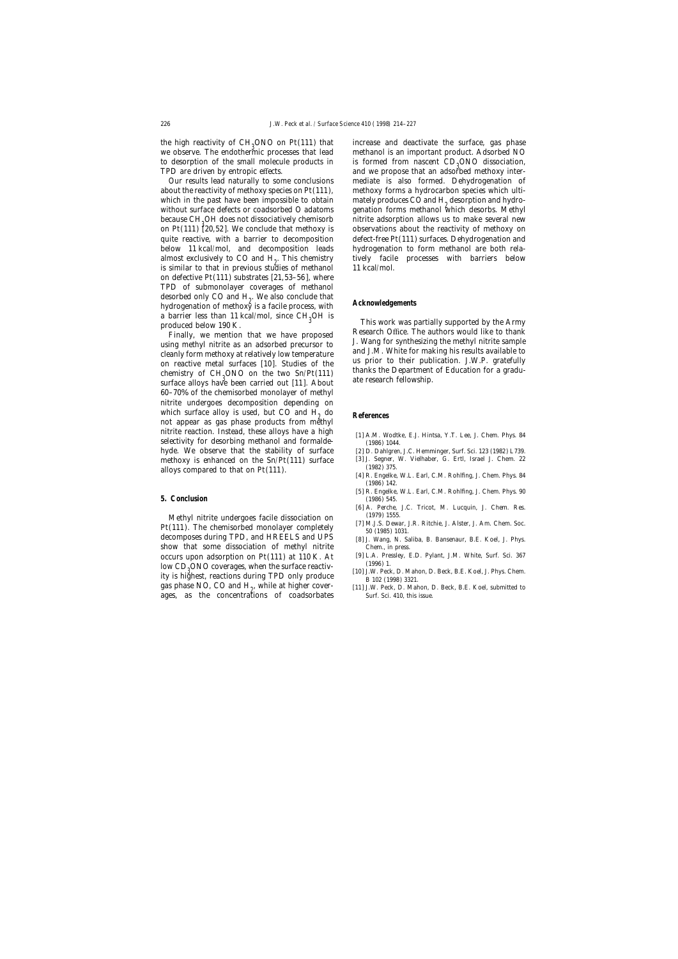the high reactivity of  $CH<sub>9</sub>ONO$  on  $Pt(111)$  that to desorption of the small molecule products in TPD are driven by entropic effects.

because CH<sub>0</sub>OH does not dissociatively chemisorb almost exclusively to CO and  $H_0$ . This chemistry is similar to that in previous studies of methanol 11 kcal/mol. on defective Pt(111) substrates [21,53–56], where TPD of submonolayer coverages of methanol desorbed only CO and H<sub>2</sub>. We also conclude that<br>hydrogenetian of methors is a facile process, with **Acknowledgements** hydrogenation of methoxy is a facile process, with a barrier less than 11 kcal/mol, since  $CH_3OH$  is

CONO on the two Sn/Pt(111) thanks the Department of Education for a gradu-<br>surface alloys have been carried out [11]. About ate research fellowship. 60–70% of the chemisorbed monolayer of methyl nitrite undergoes decomposition depending on which surface alloy is used, but CO and  $H_2$  do **References** not appear as gas phase products from methyl nitrite reaction. Instead, these alloys have a high [1] A.M. Wodtke, E.J. Hintsa, Y.T. Lee, J. Chem. Phys. 84 selectivity for desorbing methanol and formalde- (1986) 1044. hyde. We observe that the stability of surface [2] D. Dahlgren, J.C. Hemminger, Surf. Sci. 123 (1982) L739.<br>methoxy is enhanced on the Sn/Pt(111) surface [3] J. Segner, W. Vielhaber, G. Ertl, Israel J. Chem. 22 methoxy is enhanced on the Sn/Pt(111) surface [3] J. Segner, allows compared to that on  $P_t(111)$  (1982) 375. alloys compared to that on  $Pt(111)$ .<br>[4] R. Engelke, W.L. Earl, C.M. Rohlfing, J. Chem. Phys. 84

## **5. Conclusion** (1986) 545.

Methyl nitrite undergoes facile dissociation on (1979) 1555.<br>
(111) The changistabel were also a semalately (7] M.J.S. Dewar, J.R. Ritchie, J. Alster, J. Am. Chem. Soc. Pt(111). The chemisorbed monolayer completely  $\frac{1}{50}$  (1985) 1031.<br>decomposes during TPD, and HREELS and UPS [8] J. Wang, N. Saliba, B. Bansenaur, B.E. Koel, J. Phys. show that some dissociation of methyl nitrite Chem., in press. occurs upon adsorption on Pt(111) at 110 K. At [9] L.A. Pressley, E.D. Pylant, J.M. White, Surf. Sci. 367<br>levy CD ONO equations that we have resetted (1996) 1. low CD<sub>3</sub>ONO coverages, when the surface reactiv-<br>ity is highest, reactions during TPD only produce<br> $\frac{101 \text{ J.W.} \text{ Peck, D. Mahon, D. Beck, B.E. Koel, J. Phys. Chem.}}{B.102 \times 1008 \times 3221}$  $\frac{100}{2}$  reactions during TFD only produce<br>gas phase NO, CO and H<sub>2</sub>, while at higher cover-<br>ages, as the concentrations of coadsorbates Surf. Sci. 410, this issue. ages, as the concentrations of coadsorbates

increase and deactivate the surface, gas phase we observe. The endothermic processes that lead methanol is an important product. Adsorbed NO is formed from nascent  $CD<sub>0</sub>ONO$  dissociation, and we propose that an adsorbed methoxy inter-Our results lead naturally to some conclusions mediate is also formed. Dehydrogenation of about the reactivity of methoxy species on Pt(111), methoxy forms a hydrocarbon species which ultiwhich in the past have been impossible to obtain mately produces CO and  $H<sub>2</sub>$  desorption and hydro-<br>without surface defects or coadsorbed O adatoms genation forms methanol which desorbs. Methyl genation forms methanol which desorbs. Methyl nitrite adsorption allows us to make several new on Pt(111) [20,52]. We conclude that methoxy is observations about the reactivity of methoxy on quite reactive, with a barrier to decomposition defect-free Pt(111) surfaces. Dehydrogenation and below 11 kcal/mol, and decomposition leads hydrogenation to form methanol are both relatively facile processes with barriers below

produced below 190 K.<br>
Finally, we mention that we have proposed<br>
using methyl nitrite as an adsorbed precursor to<br>
cleanly form methoxy at relatively low temperature<br>
on reactive metal surfaces [10]. Studies of the<br>
chemi

- 
- 
- 
- (1986) 142.
- [5] R. Engelke, W.L. Earl, C.M. Rohlfing, J. Chem. Phys. 90
- [6] A. Perche, J.C. Tricot, M. Lucquin, J. Chem. Res.
- 
- 
- 
- 
- [11] J.W. Peck, D. Mahon, D. Beck, B.E. Koel, submitted to